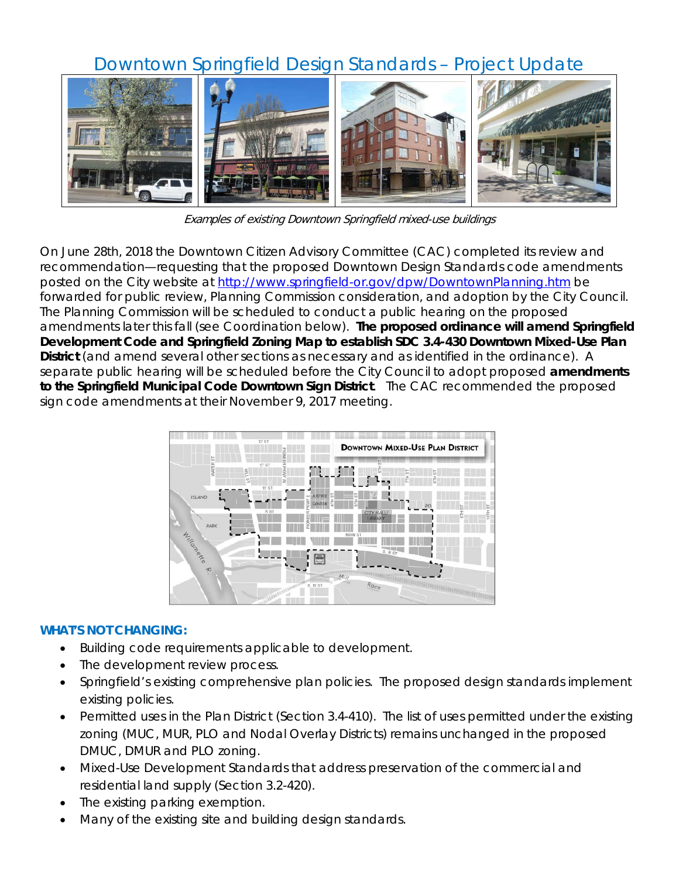## Downtown Springfield Design Standards – Project Update



Examples of existing Downtown Springfield mixed-use buildings

On June 28th, 2018 the Downtown Citizen Advisory Committee (CAC) completed its review and recommendation—requesting that the proposed Downtown Design Standards code amendments posted on the City website at<http://www.springfield-or.gov/dpw/DowntownPlanning.htm> be forwarded for public review, Planning Commission consideration, and adoption by the City Council. The Planning Commission will be scheduled to conduct a public hearing on the proposed amendments later this fall (see Coordination below). **The proposed ordinance will amend Springfield Development Code and Springfield Zoning Map to establish SDC 3.4-430 Downtown Mixed-Use Plan District** (and amend several other sections as necessary and as identified in the ordinance). A separate public hearing will be scheduled before the City Council to adopt proposed **amendments to the Springfield Municipal Code Downtown Sign District**. The CAC recommended the proposed sign code amendments at their November 9, 2017 meeting.



## **WHAT'S NOT CHANGING:**

- Building code requirements applicable to development.
- The development review process.
- Springfield's existing comprehensive plan policies. The proposed design standards implement existing policies.
- Permitted uses in the Plan District (Section 3.4-410). The list of uses permitted under the existing zoning (MUC, MUR, PLO and Nodal Overlay Districts) remains unchanged in the proposed DMUC, DMUR and PLO zoning.
- Mixed-Use Development Standards that address preservation of the commercial and residential land supply (Section 3.2-420).
- The existing parking exemption.
- Many of the existing site and building design standards.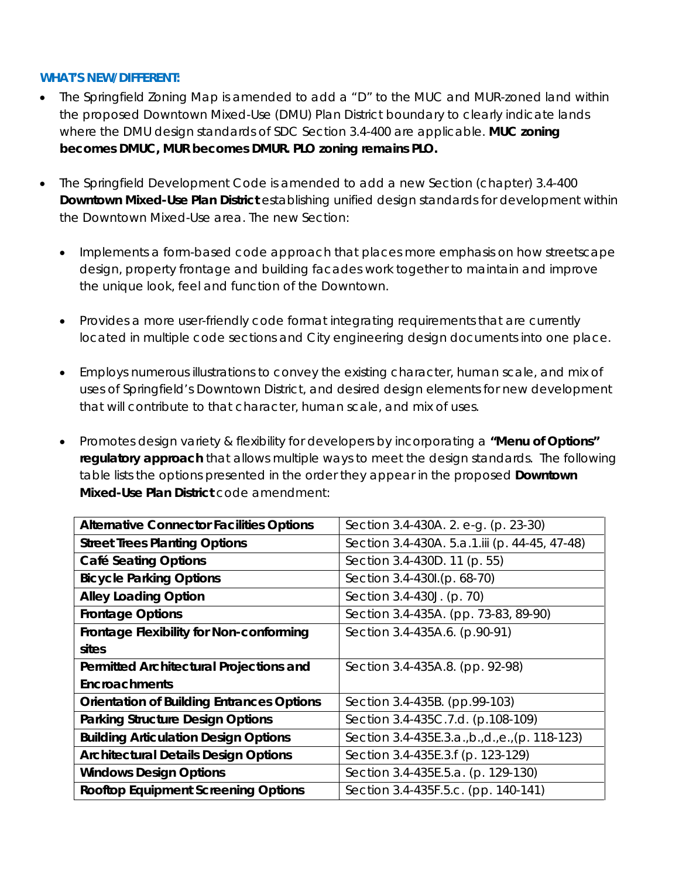## **WHAT'S NEW/DIFFERENT:**

- The Springfield Zoning Map is amended to add a "D" to the MUC and MUR-zoned land within the proposed Downtown Mixed-Use (DMU) Plan District boundary to clearly indicate lands where the DMU design standards of SDC Section 3.4-400 are applicable. **MUC zoning becomes DMUC, MUR becomes DMUR. PLO zoning remains PLO.**
- The Springfield Development Code is amended to add a new Section (chapter) 3.4-400 **Downtown Mixed-Use Plan District** establishing unified design standards for development within the Downtown Mixed-Use area. The new Section:
	- Implements a form-based code approach that places more emphasis on how streetscape design, property frontage and building facades work together to maintain and improve the unique look, feel and function of the Downtown.
	- Provides a more user-friendly code format integrating requirements that are currently located in multiple code sections and City engineering design documents into one place.
	- Employs numerous illustrations to convey the existing character, human scale, and mix of uses of Springfield's Downtown District, and desired design elements for new development that will contribute to that character, human scale, and mix of uses.
	- Promotes design variety & flexibility for developers by incorporating a **"Menu of Options" regulatory approach** that allows multiple ways to meet the design standards. The following table lists the options presented in the order they appear in the proposed **Downtown Mixed-Use Plan District** code amendment:

| <b>Alternative Connector Facilities Options</b>  | Section 3.4-430A. 2. e-g. (p. 23-30)            |
|--------------------------------------------------|-------------------------------------------------|
| <b>Street Trees Planting Options</b>             | Section 3.4-430A. 5.a.1.iii (p. 44-45, 47-48)   |
| <b>Café Seating Options</b>                      | Section 3.4-430D. 11 (p. 55)                    |
| <b>Bicycle Parking Options</b>                   | Section 3.4-430l.(p. 68-70)                     |
| <b>Alley Loading Option</b>                      | Section 3.4-430J. (p. 70)                       |
| <b>Frontage Options</b>                          | Section 3.4-435A. (pp. 73-83, 89-90)            |
| Frontage Flexibility for Non-conforming          | Section 3.4-435A.6. (p.90-91)                   |
| sites                                            |                                                 |
| Permitted Architectural Projections and          | Section 3.4-435A.8. (pp. 92-98)                 |
| <b>Encroachments</b>                             |                                                 |
| <b>Orientation of Building Entrances Options</b> | Section 3.4-435B. (pp.99-103)                   |
| <b>Parking Structure Design Options</b>          | Section 3.4-435C.7.d. (p.108-109)               |
| <b>Building Articulation Design Options</b>      | Section 3.4-435E.3.a., b., d., e., (p. 118-123) |
| <b>Architectural Details Design Options</b>      | Section 3.4-435E.3.f (p. 123-129)               |
| <b>Windows Design Options</b>                    | Section 3.4-435E.5.a. (p. 129-130)              |
| <b>Rooftop Equipment Screening Options</b>       | Section 3.4-435F.5.c. (pp. 140-141)             |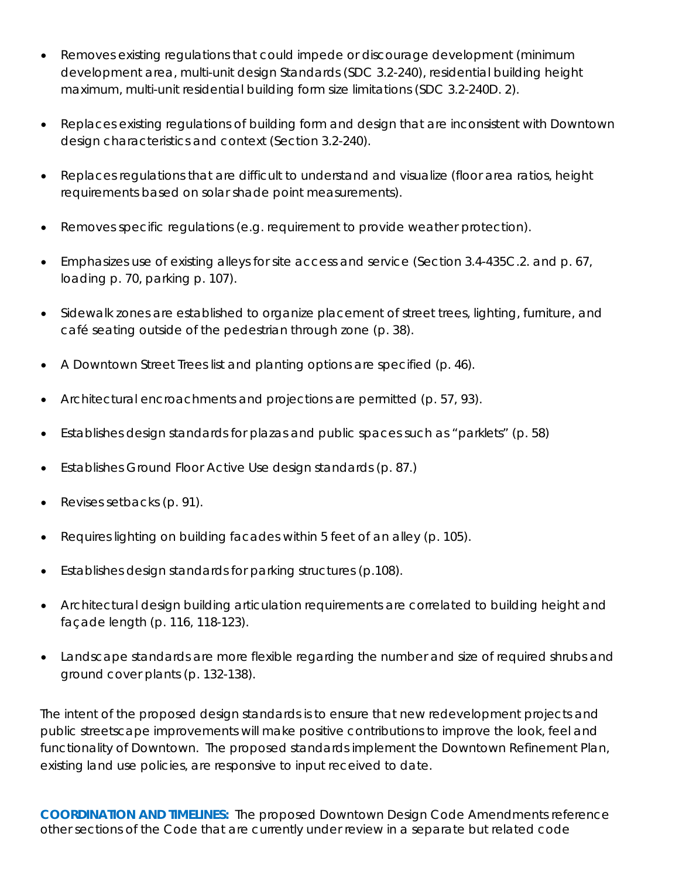- Removes existing regulations that could impede or discourage development (minimum development area, multi-unit design Standards (SDC 3.2-240), residential building height maximum, multi-unit residential building form size limitations (SDC 3.2-240D. 2).
- Replaces existing regulations of building form and design that are inconsistent with Downtown design characteristics and context (Section 3.2-240).
- Replaces regulations that are difficult to understand and visualize (floor area ratios, height requirements based on solar shade point measurements).
- Removes specific regulations (e.g. requirement to provide weather protection).
- Emphasizes use of existing alleys for site access and service (Section 3.4-435C.2. and p. 67, loading p. 70, parking p. 107).
- Sidewalk zones are established to organize placement of street trees, lighting, furniture, and café seating outside of the pedestrian through zone (p. 38).
- A Downtown Street Trees list and planting options are specified (p. 46).
- Architectural encroachments and projections are permitted (p. 57, 93).
- Establishes design standards for plazas and public spaces such as "parklets" (p. 58)
- Establishes Ground Floor Active Use design standards (p. 87.)
- Revises setbacks (p. 91).
- Requires lighting on building facades within 5 feet of an alley (p. 105).
- Establishes design standards for parking structures (p.108).
- Architectural design building articulation requirements are correlated to building height and façade length (p. 116, 118-123).
- Landscape standards are more flexible regarding the number and size of required shrubs and ground cover plants (p. 132-138).

The intent of the proposed design standards is to ensure that new redevelopment projects and public streetscape improvements will make positive contributions to improve the look, feel and functionality of Downtown. The proposed standards implement the Downtown Refinement Plan, existing land use policies, are responsive to input received to date.

**COORDINATION AND TIMELINES:** The proposed Downtown Design Code Amendments reference other sections of the Code that are currently under review in a separate but related code